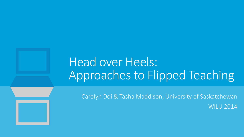## Head over Heels: Approaches to Flipped Teaching

Carolyn Doi & Tasha Maddison, University of Saskatchewan WILU 2014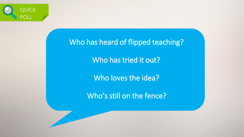

#### Who has heard of flipped teaching?

Who has tried it out?

Who loves the idea?

Who's still on the fence?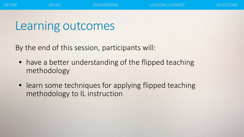#### Learning outcomes

By the end of this session, participants will:

- have a better understanding of the flipped teaching methodology
- learn some techniques for applying flipped teaching methodology to IL instruction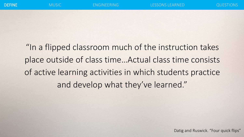"In a flipped classroom much of the instruction takes place outside of class time…Actual class time consists of active learning activities in which students practice and develop what they've learned."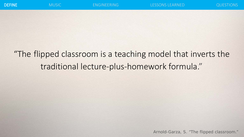#### "The flipped classroom is a teaching model that inverts the traditional lecture-plus-homework formula."

Arnold-Garza, S. "The flipped classroom."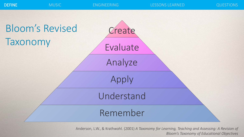



Anderson, L.W., & Krathwohl. (2001) *A Taxonomy for Learning, Teaching and Assessing: A Revision of Bloom's Taxonomy of Educational Objectives*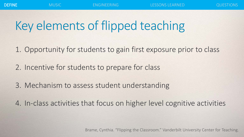# Key elements of flipped teaching

- 1. Opportunity for students to gain first exposure prior to class
- 2. Incentive for students to prepare for class
- 3. Mechanism to assess student understanding
- 4. In-class activities that focus on higher level cognitive activities

Brame, Cynthia. "Flipping the Classroom." Vanderbilt University Center for Teaching.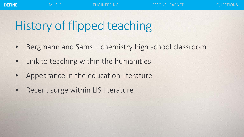# History of flipped teaching

- Bergmann and Sams chemistry high school classroom
- Link to teaching within the humanities
- Appearance in the education literature
- Recent surge within LIS literature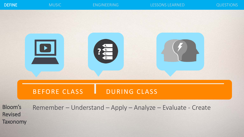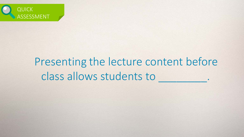

#### Presenting the lecture content before class allows students to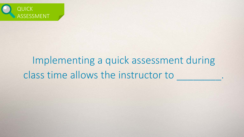

## Implementing a quick assessment during class time allows the instructor to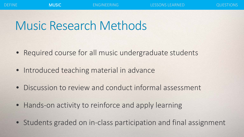#### Music Research Methods

- Required course for all music undergraduate students
- Introduced teaching material in advance
- Discussion to review and conduct informal assessment
- Hands-on activity to reinforce and apply learning
- Students graded on in-class participation and final assignment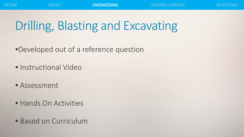# Drilling, Blasting and Excavating

- •Developed out of a reference question
- Instructional Video
- Assessment
- Hands On Activities
- Based on Curriculum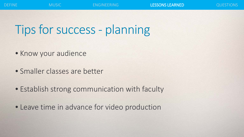# Tips for success - planning

- Know your audience
- Smaller classes are better
- Establish strong communication with faculty
- Leave time in advance for video production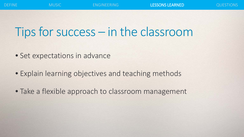## Tips for success – in the classroom

- Set expectations in advance
- Explain learning objectives and teaching methods
- Take a flexible approach to classroom management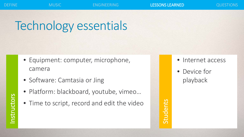**Students** 

# Technology essentials

- Equipment: computer, microphone, camera
- Software: Camtasia or Jing
- Platform: blackboard, youtube, vimeo…
- Time to script, record and edit the video
- Internet access
- Device for playback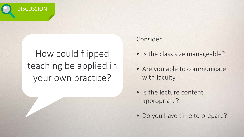

#### How could flipped teaching be applied in your own practice?

#### Consider…

- Is the class size manageable?
- Are you able to communicate with faculty?
- Is the lecture content appropriate?
- Do you have time to prepare?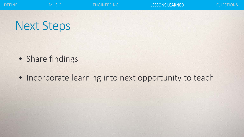#### Next Steps

- Share findings
- Incorporate learning into next opportunity to teach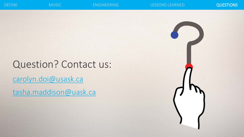#### Question? Contact us: [carolyn.doi@usask.ca](mailto:Carolyn.doi@usask.ca) [tasha.maddison@uask.ca](mailto:tasha.maddison@uask.ca)